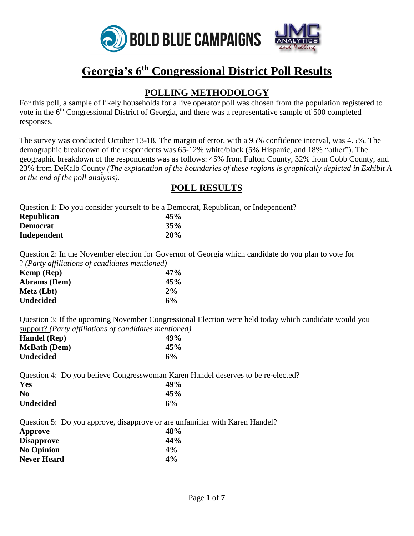

# **Georgia's 6th Congressional District Poll Results**

# **POLLING METHODOLOGY**

For this poll, a sample of likely households for a live operator poll was chosen from the population registered to vote in the 6th Congressional District of Georgia, and there was a representative sample of 500 completed responses.

The survey was conducted October 13-18. The margin of error, with a 95% confidence interval, was 4.5%. The demographic breakdown of the respondents was 65-12% white/black (5% Hispanic, and 18% "other"). The geographic breakdown of the respondents was as follows: 45% from Fulton County, 32% from Cobb County, and 23% from DeKalb County *(The explanation of the boundaries of these regions is graphically depicted in Exhibit A at the end of the poll analysis).*

### **POLL RESULTS**

| Question 1: Do you consider yourself to be a Democrat, Republican, or Independent?            |                                                                                                              |
|-----------------------------------------------------------------------------------------------|--------------------------------------------------------------------------------------------------------------|
| Republican                                                                                    | 45%                                                                                                          |
| <b>Democrat</b>                                                                               | 35%                                                                                                          |
| Independent                                                                                   | 20%                                                                                                          |
|                                                                                               | Question 2: In the November election for Governor of Georgia which candidate do you plan to vote for         |
| ? (Party affiliations of candidates mentioned)                                                |                                                                                                              |
| Kemp (Rep)                                                                                    | 47%                                                                                                          |
| Abrams (Dem)                                                                                  | 45%                                                                                                          |
| Metz (Lbt)                                                                                    | 2%                                                                                                           |
| <b>Undecided</b>                                                                              | 6%                                                                                                           |
| support? (Party affiliations of candidates mentioned)<br>Handel (Rep)                         | Question 3: If the upcoming November Congressional Election were held today which candidate would you<br>49% |
| <b>McBath</b> (Dem)                                                                           | 45%                                                                                                          |
| <b>Undecided</b>                                                                              | 6%                                                                                                           |
| Question 4: Do you believe Congresswoman Karen Handel deserves to be re-elected?              |                                                                                                              |
| Yes                                                                                           | 49%                                                                                                          |
| N <sub>0</sub><br><b>Undecided</b>                                                            | 45%<br>6%                                                                                                    |
| Question 5: Do you approve, disapprove or are unfamiliar with Karen Handel?<br><b>Approve</b> | 48%                                                                                                          |
| <b>Disapprove</b>                                                                             | 44%                                                                                                          |
| <b>No Opinion</b>                                                                             | 4%                                                                                                           |
| <b>Never Heard</b>                                                                            | 4%                                                                                                           |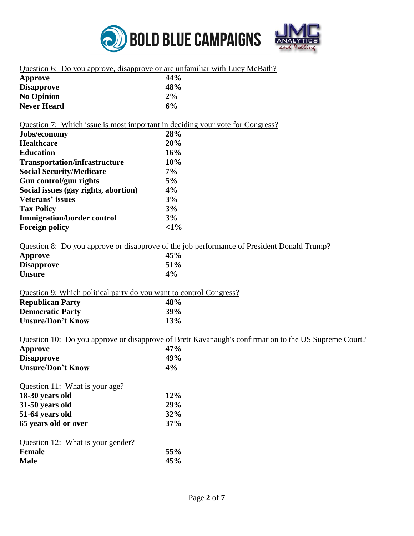

|  |  | Question 6: Do you approve, disapprove or are unfamiliar with Lucy McBath? |  |  |
|--|--|----------------------------------------------------------------------------|--|--|
|--|--|----------------------------------------------------------------------------|--|--|

| Approve            | 44% |
|--------------------|-----|
| <b>Disapprove</b>  | 48% |
| <b>No Opinion</b>  | 2%  |
| <b>Never Heard</b> | 6%  |

#### Question 7: Which issue is most important in deciding your vote for Congress?

| Jobs/economy                         | 28%    |
|--------------------------------------|--------|
| <b>Healthcare</b>                    | 20%    |
| <b>Education</b>                     | 16%    |
| <b>Transportation/infrastructure</b> | 10%    |
| <b>Social Security/Medicare</b>      | $7\%$  |
| Gun control/gun rights               | 5%     |
| Social issues (gay rights, abortion) | 4%     |
| Veterans' issues                     | 3%     |
| <b>Tax Policy</b>                    | 3%     |
| <b>Immigration/border control</b>    | 3%     |
| <b>Foreign policy</b>                | $<1\%$ |

#### Question 8: Do you approve or disapprove of the job performance of President Donald Trump?

| Approve           | 45%   |
|-------------------|-------|
| <b>Disapprove</b> | 51%   |
| <b>Unsure</b>     | $4\%$ |

### Question 9: Which political party do you want to control Congress?

| <b>Republican Party</b>  | 48% |
|--------------------------|-----|
| <b>Democratic Party</b>  | 39% |
| <b>Unsure/Don't Know</b> | 13% |

#### Question 10: Do you approve or disapprove of Brett Kavanaugh's confirmation to the US Supreme Court?

| Approve                           | 47%        |
|-----------------------------------|------------|
| <b>Disapprove</b>                 | 49%        |
| <b>Unsure/Don't Know</b>          | 4%         |
| Question 11: What is your age?    |            |
| 18-30 years old                   | 12%        |
| 31-50 years old                   | <b>29%</b> |
| 51-64 years old                   | 32%        |
| 65 years old or over              | 37%        |
| Question 12: What is your gender? |            |
| <b>Female</b>                     | 55%        |
| <b>Male</b>                       | 45%        |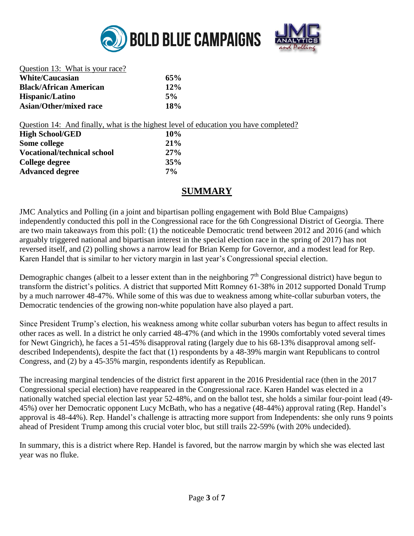



| Question 13: What is your race? |            |
|---------------------------------|------------|
| <b>White/Caucasian</b>          | 65%        |
| <b>Black/African American</b>   | 12%        |
| Hispanic/Latino                 | $5\%$      |
| Asian/Other/mixed race          | <b>18%</b> |

Question 14: And finally, what is the highest level of education you have completed?

| <b>High School/GED</b>             | 10%   |  |
|------------------------------------|-------|--|
| Some college                       | 21%   |  |
| <b>Vocational/technical school</b> | 27%   |  |
| College degree                     | 35%   |  |
| <b>Advanced degree</b>             | $7\%$ |  |

## **SUMMARY**

JMC Analytics and Polling (in a joint and bipartisan polling engagement with Bold Blue Campaigns) independently conducted this poll in the Congressional race for the 6th Congressional District of Georgia. There are two main takeaways from this poll: (1) the noticeable Democratic trend between 2012 and 2016 (and which arguably triggered national and bipartisan interest in the special election race in the spring of 2017) has not reversed itself, and (2) polling shows a narrow lead for Brian Kemp for Governor, and a modest lead for Rep. Karen Handel that is similar to her victory margin in last year's Congressional special election.

Demographic changes (albeit to a lesser extent than in the neighboring 7<sup>th</sup> Congressional district) have begun to transform the district's politics. A district that supported Mitt Romney 61-38% in 2012 supported Donald Trump by a much narrower 48-47%. While some of this was due to weakness among white-collar suburban voters, the Democratic tendencies of the growing non-white population have also played a part.

Since President Trump's election, his weakness among white collar suburban voters has begun to affect results in other races as well. In a district he only carried 48-47% (and which in the 1990s comfortably voted several times for Newt Gingrich), he faces a 51-45% disapproval rating (largely due to his 68-13% disapproval among selfdescribed Independents), despite the fact that (1) respondents by a 48-39% margin want Republicans to control Congress, and (2) by a 45-35% margin, respondents identify as Republican.

The increasing marginal tendencies of the district first apparent in the 2016 Presidential race (then in the 2017 Congressional special election) have reappeared in the Congressional race. Karen Handel was elected in a nationally watched special election last year 52-48%, and on the ballot test, she holds a similar four-point lead (49- 45%) over her Democratic opponent Lucy McBath, who has a negative (48-44%) approval rating (Rep. Handel's approval is 48-44%). Rep. Handel's challenge is attracting more support from Independents: she only runs 9 points ahead of President Trump among this crucial voter bloc, but still trails 22-59% (with 20% undecided).

In summary, this is a district where Rep. Handel is favored, but the narrow margin by which she was elected last year was no fluke.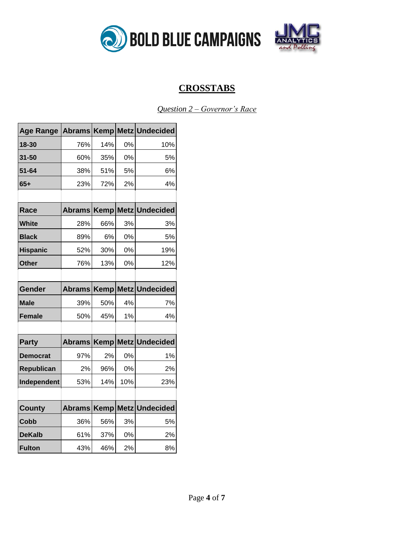



# **CROSSTABS**

*Question 2 – Governor's Race*

| <b>Age Range</b> |               |             |     | Abrams Kemp Metz Undecided       |
|------------------|---------------|-------------|-----|----------------------------------|
| 18-30            | 76%           | 14%         | 0%  | 10%                              |
| 31-50            | 60%           | 35%         | 0%  | 5%                               |
| 51-64            | 38%           | 51%         | 5%  | 6%                               |
| $65+$            | 23%           | 72%         | 2%  | 4%                               |
|                  |               |             |     |                                  |
| Race             | <b>Abrams</b> | <b>Kemp</b> |     | Metz Undecided                   |
| <b>White</b>     | 28%           | 66%         | 3%  | 3%                               |
| <b>Black</b>     | 89%           | 6%          | 0%  | 5%                               |
| <b>Hispanic</b>  | 52%           | 30%         | 0%  | 19%                              |
| <b>Other</b>     | 76%           | 13%         | 0%  | 12%                              |
|                  |               |             |     |                                  |
| Gender           |               |             |     | Abrams   Kemp   Metz   Undecided |
| <b>Male</b>      | 39%           | 50%         | 4%  | 7%                               |
| <b>Female</b>    | 50%           | 45%         | 1%  | 4%                               |
|                  |               |             |     |                                  |
| <b>Party</b>     | <b>Abrams</b> | Kemp        |     | Metz Undecided                   |
| <b>Democrat</b>  | 97%           | 2%          | 0%  | 1%                               |
| Republican       | 2%            | 96%         | 0%  | 2%                               |
| Independent      | 53%           | 14%         | 10% | 23%                              |
|                  |               |             |     |                                  |
| <b>County</b>    | <b>Abrams</b> |             |     | Kemp Metz Undecided              |
| Cobb             | 36%           | 56%         | 3%  | 5%                               |
| <b>DeKalb</b>    | 61%           | 37%         | 0%  | 2%                               |
| <b>Fulton</b>    | 43%           | 46%         | 2%  | 8%                               |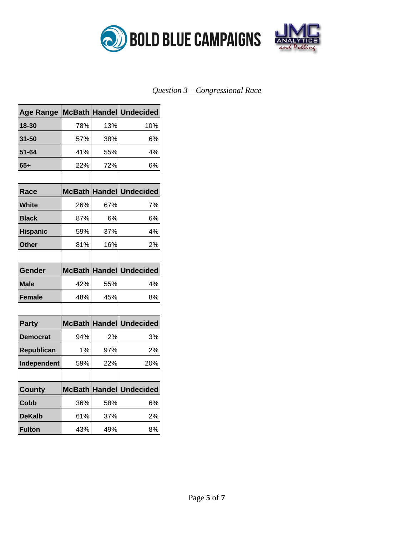



### *Question 3 – Congressional Race*

| <b>Age Range</b> |     |     | McBath Handel Undecided |
|------------------|-----|-----|-------------------------|
| 18-30            | 78% | 13% | 10%                     |
| 31-50            | 57% | 38% | 6%                      |
| $51 - 64$        | 41% | 55% | 4%                      |
| $65+$            | 22% | 72% | 6%                      |
|                  |     |     |                         |
| Race             |     |     | McBath Handel Undecided |
| White            | 26% | 67% | 7%                      |
| <b>Black</b>     | 87% | 6%  | 6%                      |
| <b>Hispanic</b>  | 59% | 37% | 4%                      |
| <b>Other</b>     | 81% | 16% | 2%                      |
|                  |     |     |                         |
| Gender           |     |     | McBath Handel Undecided |
| Male             | 42% | 55% | 4%                      |
| <b>Female</b>    | 48% | 45% | 8%                      |
|                  |     |     |                         |
| <b>Party</b>     |     |     | McBath Handel Undecided |
| <b>Democrat</b>  | 94% | 2%  | 3%                      |
| Republican       | 1%  | 97% | 2%                      |
| Independent      | 59% | 22% | 20%                     |
|                  |     |     |                         |
| <b>County</b>    |     |     | McBath Handel Undecided |
| Cobb             | 36% | 58% | 6%                      |
| <b>DeKalb</b>    | 61% | 37% | 2%                      |
| <b>Fulton</b>    | 43% | 49% | 8%                      |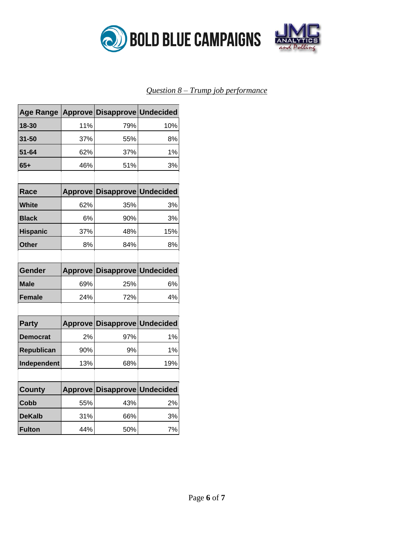

### *Question 8 – Trump job performance*

| <b>Age Range</b> |                | Approve Disapprove Undecided |     |
|------------------|----------------|------------------------------|-----|
| 18-30            | 11%            | 79%                          | 10% |
| $31 - 50$        | 37%            | 55%                          | 8%  |
| $51 - 64$        | 62%            | 37%                          | 1%  |
| $65+$            | 46%            | 51%                          | 3%  |
|                  |                |                              |     |
| Race             | <b>Approve</b> | <b>Disapprove Undecided</b>  |     |
| White            | 62%            | 35%                          | 3%  |
| <b>Black</b>     | 6%             | 90%                          | 3%  |
| <b>Hispanic</b>  | 37%            | 48%                          | 15% |
| <b>Other</b>     | 8%             | 84%                          | 8%  |
|                  |                |                              |     |
| Gender           | <b>Approve</b> | <b>Disapprove Undecided</b>  |     |
| Male             | 69%            | 25%                          | 6%  |
| <b>Female</b>    | 24%            | 72%                          | 4%  |
|                  |                |                              |     |
| <b>Party</b>     | <b>Approve</b> | <b>Disapprove Undecided</b>  |     |
| <b>Democrat</b>  | 2%             | 97%                          | 1%  |
| Republican       | 90%            | 9%                           | 1%  |
| Independent      | 13%            | 68%                          | 19% |
|                  |                |                              |     |
| <b>County</b>    | <b>Approve</b> | <b>Disapprove Undecided</b>  |     |
| <b>Cobb</b>      | 55%            | 43%                          | 2%  |
| <b>DeKalb</b>    | 31%            | 66%                          | 3%  |
| <b>Fulton</b>    | 44%            | 50%                          | 7%  |